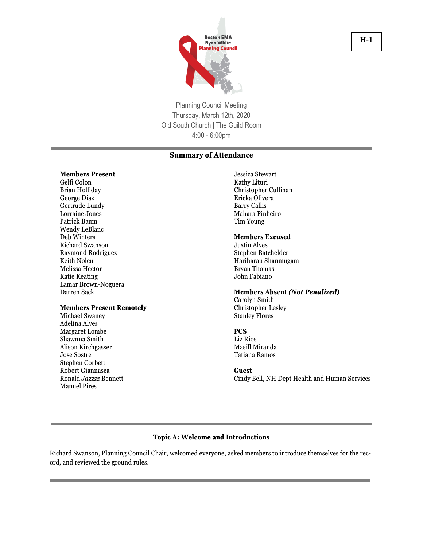

Planning Council Meeting Thursday, March 12th, 2020 Old South Church | The Guild Room 4:00 - 6:00pm

# **Summary of Attendance**

#### **Members Present**

Gelfi Colon Brian Holliday George Diaz Gertrude Lundy Lorraine Jones Patrick Baum Wendy LeBlanc Deb Winters Richard Swanson Raymond Rodriguez Keith Nolen Melissa Hector Katie Keating Lamar Brown-Noguera Darren Sack

#### **Members Present Remotely**

Michael Swaney Adelina Alves Margaret Lombe Shawnna Smith Alison Kirchgasser Jose Sostre Stephen Corbett Robert Giannasca Ronald *Jazzzz* Bennett Manuel Pires

Jessica Stewart Kathy Lituri Christopher Cullinan Ericka Olivera Barry Callis Mahara Pinheiro Tim Young

#### **Members Excused**

Justin Alves Stephen Batchelder Hariharan Shanmugam Bryan Thomas John Fabiano

#### **Members Absent** *(Not Penalized)*

Carolyn Smith Christopher Lesley Stanley Flores

#### **PCS**

Liz Rios Masill Miranda Tatiana Ramos

#### **Guest**

Cindy Bell, NH Dept Health and Human Services

#### **Topic A: Welcome and Introductions**

Richard Swanson, Planning Council Chair, welcomed everyone, asked members to introduce themselves for the record, and reviewed the ground rules.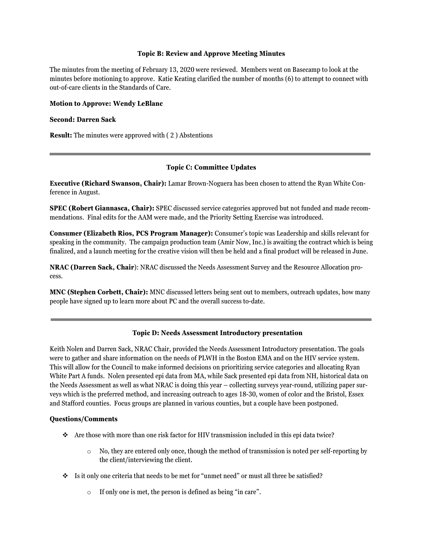#### **Topic B: Review and Approve Meeting Minutes**

The minutes from the meeting of February 13, 2020 were reviewed. Members went on Basecamp to look at the minutes before motioning to approve. Katie Keating clarified the number of months (6) to attempt to connect with out-of-care clients in the Standards of Care.

#### **Motion to Approve: Wendy LeBlanc**

#### **Second: Darren Sack**

**Result:** The minutes were approved with ( 2 ) Abstentions

# **Topic C: Committee Updates**

**Executive (Richard Swanson, Chair):** Lamar Brown-Noguera has been chosen to attend the Ryan White Conference in August.

**SPEC (Robert Giannasca, Chair):** SPEC discussed service categories approved but not funded and made recommendations. Final edits for the AAM were made, and the Priority Setting Exercise was introduced.

**Consumer (Elizabeth Rios, PCS Program Manager):** Consumer's topic was Leadership and skills relevant for speaking in the community. The campaign production team (Amir Now, Inc.) is awaiting the contract which is being finalized, and a launch meeting for the creative vision will then be held and a final product will be released in June.

**NRAC (Darren Sack, Chair**): NRAC discussed the Needs Assessment Survey and the Resource Allocation process.

**MNC (Stephen Corbett, Chair):** MNC discussed letters being sent out to members, outreach updates, how many people have signed up to learn more about PC and the overall success to-date.

# **Topic D: Needs Assessment Introductory presentation**

Keith Nolen and Darren Sack, NRAC Chair, provided the Needs Assessment Introductory presentation. The goals were to gather and share information on the needs of PLWH in the Boston EMA and on the HIV service system. This will allow for the Council to make informed decisions on prioritizing service categories and allocating Ryan White Part A funds. Nolen presented epi data from MA, while Sack presented epi data from NH, historical data on the Needs Assessment as well as what NRAC is doing this year – collecting surveys year-round, utilizing paper surveys which is the preferred method, and increasing outreach to ages 18-30, women of color and the Bristol, Essex and Stafford counties. Focus groups are planned in various counties, but a couple have been postponed.

#### **Questions/Comments**

- ❖ Are those with more than one risk factor for HIV transmission included in this epi data twice?
	- $\circ$  No, they are entered only once, though the method of transmission is noted per self-reporting by the client/interviewing the client.
- ❖ Is it only one criteria that needs to be met for "unmet need" or must all three be satisfied?
	- o If only one is met, the person is defined as being "in care".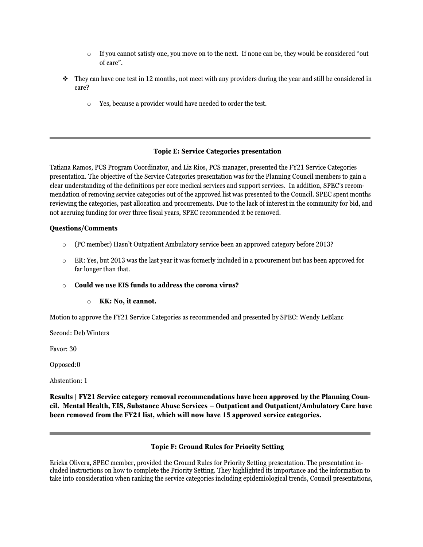- $\circ$  If you cannot satisfy one, you move on to the next. If none can be, they would be considered "out" of care".
- $\bullet$  They can have one test in 12 months, not meet with any providers during the year and still be considered in care?
	- o Yes, because a provider would have needed to order the test.

# **Topic E: Service Categories presentation**

Tatiana Ramos, PCS Program Coordinator, and Liz Rios, PCS manager, presented the FY21 Service Categories presentation. The objective of the Service Categories presentation was for the Planning Council members to gain a clear understanding of the definitions per core medical services and support services. In addition, SPEC's recommendation of removing service categories out of the approved list was presented to the Council. SPEC spent months reviewing the categories, past allocation and procurements. Due to the lack of interest in the community for bid, and not accruing funding for over three fiscal years, SPEC recommended it be removed.

#### **Questions/Comments**

- o (PC member) Hasn't Outpatient Ambulatory service been an approved category before 2013?
- $\circ$  ER: Yes, but 2013 was the last year it was formerly included in a procurement but has been approved for far longer than that.
- o **Could we use EIS funds to address the corona virus?**

# o **KK: No, it cannot.**

Motion to approve the FY21 Service Categories as recommended and presented by SPEC: Wendy LeBlanc

Second: Deb Winters

Favor: 30

Opposed:0

Abstention: 1

**Results | FY21 Service category removal recommendations have been approved by the Planning Council. Mental Health, EIS, Substance Abuse Services – Outpatient and Outpatient/Ambulatory Care have been removed from the FY21 list, which will now have 15 approved service categories.**

# **Topic F: Ground Rules for Priority Setting**

Ericka Olivera, SPEC member, provided the Ground Rules for Priority Setting presentation. The presentation included instructions on how to complete the Priority Setting. They highlighted its importance and the information to take into consideration when ranking the service categories including epidemiological trends, Council presentations,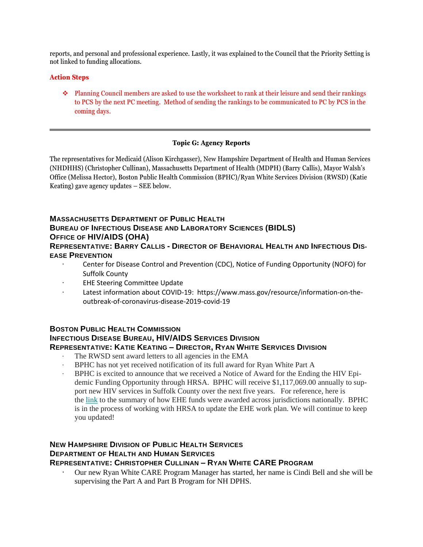reports, and personal and professional experience. Lastly, it was explained to the Council that the Priority Setting is not linked to funding allocations.

# **Action Steps**

❖ Planning Council members are asked to use the worksheet to rank at their leisure and send their rankings to PCS by the next PC meeting. Method of sending the rankings to be communicated to PC by PCS in the coming days.

# **Topic G: Agency Reports**

The representatives for Medicaid (Alison Kirchgasser), New Hampshire Department of Health and Human Services (NHDHHS) (Christopher Cullinan), Massachusetts Department of Health (MDPH) (Barry Callis), Mayor Walsh's Office (Melissa Hector), Boston Public Health Commission (BPHC)/Ryan White Services Division (RWSD) (Katie Keating) gave agency updates – SEE below.

# **MASSACHUSETTS DEPARTMENT OF PUBLIC HEALTH BUREAU OF INFECTIOUS DISEASE AND LABORATORY SCIENCES (BIDLS) OFFICE OF HIV/AIDS (OHA)**

# **REPRESENTATIVE: BARRY CALLIS - DIRECTOR OF BEHAVIORAL HEALTH AND INFECTIOUS DIS-EASE PREVENTION**

- · Center for Disease Control and Prevention (CDC), Notice of Funding Opportunity (NOFO) for Suffolk County
- · EHE Steering Committee Update
- · Latest information about COVID-19: https://www.mass.gov/resource/information-on-theoutbreak-of-coronavirus-disease-2019-covid-19

# **BOSTON PUBLIC HEALTH COMMISSION**

# **INFECTIOUS DISEASE BUREAU, HIV/AIDS SERVICES DIVISION**

# **REPRESENTATIVE: KATIE KEATING – DIRECTOR, RYAN WHITE SERVICES DIVISION**

- The RWSD sent award letters to all agencies in the EMA
- BPHC has not yet received notification of its full award for Ryan White Part A
- · BPHC is excited to announce that we received a Notice of Award for the Ending the HIV Epidemic Funding Opportunity through HRSA. BPHC will receive \$1,117,069.00 annually to support new HIV services in Suffolk County over the next five years. For reference, here is the [link](https://gcc02.safelinks.protection.outlook.com/?url=https%3A%2F%2Fhab.hrsa.gov%2Fabout-ryan-white-hivaids-program%2Ffy2020-ending-hiv-epidemic-awards&data=02%7C01%7CMmiranda%40bphc.org%7Ced806b6ac0cd40b8051608d7c1292401%7Cff5b5bc8925b471f942aeb176c03ab36%7C1%7C0%7C637190254746563004&sdata=t0sWUHMSqUmwUonmniUfzsMvJvtwHOAYojPqFhmqAqo%3D&reserved=0) to the summary of how EHE funds were awarded across jurisdictions nationally. BPHC is in the process of working with HRSA to update the EHE work plan. We will continue to keep you updated!

# **NEW HAMPSHIRE DIVISION OF PUBLIC HEALTH SERVICES DEPARTMENT OF HEALTH AND HUMAN SERVICES REPRESENTATIVE: CHRISTOPHER CULLINAN – RYAN WHITE CARE PROGRAM**

· Our new Ryan White CARE Program Manager has started, her name is Cindi Bell and she will be supervising the Part A and Part B Program for NH DPHS.